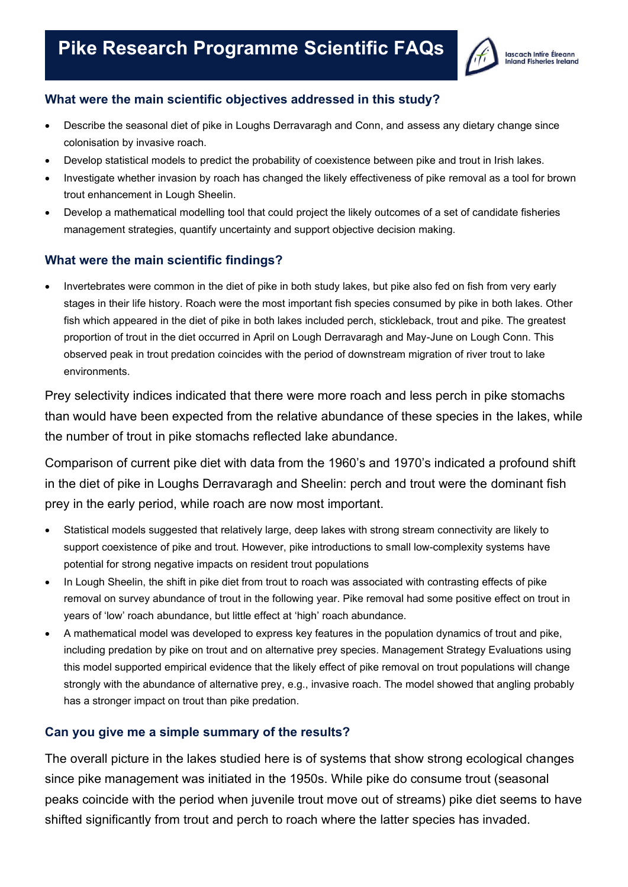

#### **What were the main scientific objectives addressed in this study?**

- Describe the seasonal diet of pike in Loughs Derravaragh and Conn, and assess any dietary change since colonisation by invasive roach.
- Develop statistical models to predict the probability of coexistence between pike and trout in Irish lakes.
- Investigate whether invasion by roach has changed the likely effectiveness of pike removal as a tool for brown trout enhancement in Lough Sheelin.
- Develop a mathematical modelling tool that could project the likely outcomes of a set of candidate fisheries management strategies, quantify uncertainty and support objective decision making.

#### **What were the main scientific findings?**

• Invertebrates were common in the diet of pike in both study lakes, but pike also fed on fish from very early stages in their life history. Roach were the most important fish species consumed by pike in both lakes. Other fish which appeared in the diet of pike in both lakes included perch, stickleback, trout and pike. The greatest proportion of trout in the diet occurred in April on Lough Derravaragh and May-June on Lough Conn. This observed peak in trout predation coincides with the period of downstream migration of river trout to lake environments.

Prey selectivity indices indicated that there were more roach and less perch in pike stomachs than would have been expected from the relative abundance of these species in the lakes, while the number of trout in pike stomachs reflected lake abundance.

Comparison of current pike diet with data from the 1960's and 1970's indicated a profound shift in the diet of pike in Loughs Derravaragh and Sheelin: perch and trout were the dominant fish prey in the early period, while roach are now most important.

- Statistical models suggested that relatively large, deep lakes with strong stream connectivity are likely to support coexistence of pike and trout. However, pike introductions to small low-complexity systems have potential for strong negative impacts on resident trout populations
- In Lough Sheelin, the shift in pike diet from trout to roach was associated with contrasting effects of pike removal on survey abundance of trout in the following year. Pike removal had some positive effect on trout in years of 'low' roach abundance, but little effect at 'high' roach abundance.
- A mathematical model was developed to express key features in the population dynamics of trout and pike, including predation by pike on trout and on alternative prey species. Management Strategy Evaluations using this model supported empirical evidence that the likely effect of pike removal on trout populations will change strongly with the abundance of alternative prey, e.g., invasive roach. The model showed that angling probably has a stronger impact on trout than pike predation.

#### **Can you give me a simple summary of the results?**

The overall picture in the lakes studied here is of systems that show strong ecological changes since pike management was initiated in the 1950s. While pike do consume trout (seasonal peaks coincide with the period when juvenile trout move out of streams) pike diet seems to have shifted significantly from trout and perch to roach where the latter species has invaded.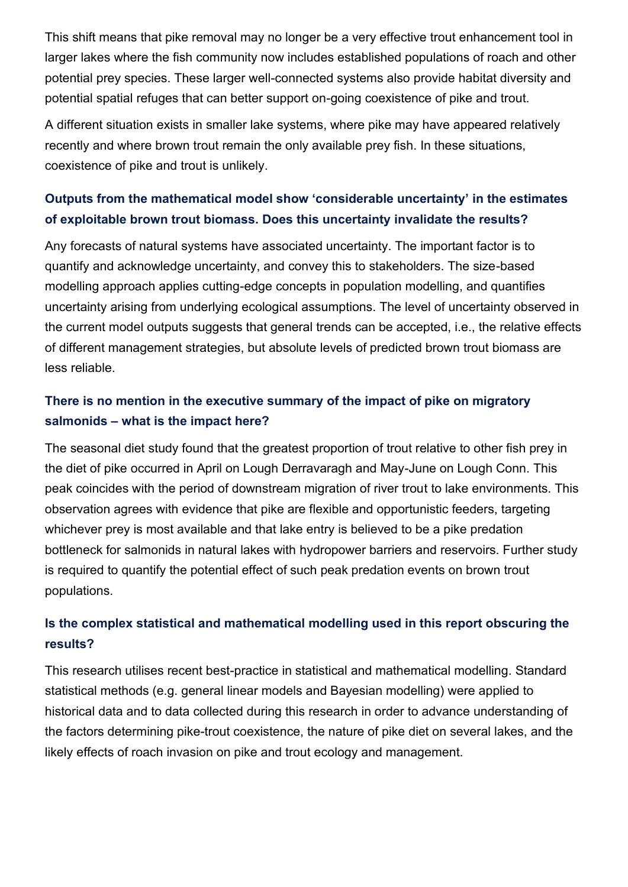This shift means that pike removal may no longer be a very effective trout enhancement tool in larger lakes where the fish community now includes established populations of roach and other potential prey species. These larger well-connected systems also provide habitat diversity and potential spatial refuges that can better support on-going coexistence of pike and trout.

A different situation exists in smaller lake systems, where pike may have appeared relatively recently and where brown trout remain the only available prey fish. In these situations, coexistence of pike and trout is unlikely.

### **Outputs from the mathematical model show 'considerable uncertainty' in the estimates of exploitable brown trout biomass. Does this uncertainty invalidate the results?**

Any forecasts of natural systems have associated uncertainty. The important factor is to quantify and acknowledge uncertainty, and convey this to stakeholders. The size-based modelling approach applies cutting-edge concepts in population modelling, and quantifies uncertainty arising from underlying ecological assumptions. The level of uncertainty observed in the current model outputs suggests that general trends can be accepted, i.e., the relative effects of different management strategies, but absolute levels of predicted brown trout biomass are less reliable.

### **There is no mention in the executive summary of the impact of pike on migratory salmonids – what is the impact here?**

The seasonal diet study found that the greatest proportion of trout relative to other fish prey in the diet of pike occurred in April on Lough Derravaragh and May-June on Lough Conn. This peak coincides with the period of downstream migration of river trout to lake environments. This observation agrees with evidence that pike are flexible and opportunistic feeders, targeting whichever prey is most available and that lake entry is believed to be a pike predation bottleneck for salmonids in natural lakes with hydropower barriers and reservoirs. Further study is required to quantify the potential effect of such peak predation events on brown trout populations.

### **Is the complex statistical and mathematical modelling used in this report obscuring the results?**

This research utilises recent best-practice in statistical and mathematical modelling. Standard statistical methods (e.g. general linear models and Bayesian modelling) were applied to historical data and to data collected during this research in order to advance understanding of the factors determining pike-trout coexistence, the nature of pike diet on several lakes, and the likely effects of roach invasion on pike and trout ecology and management.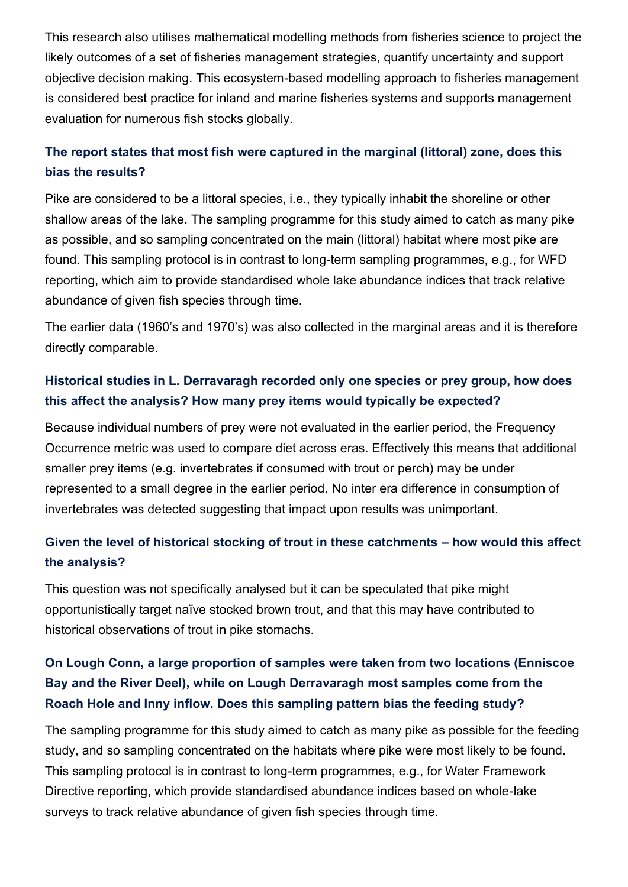This research also utilises mathematical modelling methods from fisheries science to project the likely outcomes of a set of fisheries management strategies, quantify uncertainty and support objective decision making. This ecosystem-based modelling approach to fisheries management is considered best practice for inland and marine fisheries systems and supports management evaluation for numerous fish stocks globally.

## **The report states that most fish were captured in the marginal (littoral) zone, does this bias the results?**

Pike are considered to be a littoral species, i.e., they typically inhabit the shoreline or other shallow areas of the lake. The sampling programme for this study aimed to catch as many pike as possible, and so sampling concentrated on the main (littoral) habitat where most pike are found. This sampling protocol is in contrast to long-term sampling programmes, e.g., for WFD reporting, which aim to provide standardised whole lake abundance indices that track relative abundance of given fish species through time.

The earlier data (1960's and 1970's) was also collected in the marginal areas and it is therefore directly comparable.

## **Historical studies in L. Derravaragh recorded only one species or prey group, how does this affect the analysis? How many prey items would typically be expected?**

Because individual numbers of prey were not evaluated in the earlier period, the Frequency Occurrence metric was used to compare diet across eras. Effectively this means that additional smaller prey items (e.g. invertebrates if consumed with trout or perch) may be under represented to a small degree in the earlier period. No inter era difference in consumption of invertebrates was detected suggesting that impact upon results was unimportant.

## **Given the level of historical stocking of trout in these catchments – how would this affect the analysis?**

This question was not specifically analysed but it can be speculated that pike might opportunistically target naïve stocked brown trout, and that this may have contributed to historical observations of trout in pike stomachs.

## **On Lough Conn, a large proportion of samples were taken from two locations (Enniscoe Bay and the River Deel), while on Lough Derravaragh most samples come from the Roach Hole and Inny inflow. Does this sampling pattern bias the feeding study?**

The sampling programme for this study aimed to catch as many pike as possible for the feeding study, and so sampling concentrated on the habitats where pike were most likely to be found. This sampling protocol is in contrast to long-term programmes, e.g., for Water Framework Directive reporting, which provide standardised abundance indices based on whole-lake surveys to track relative abundance of given fish species through time.